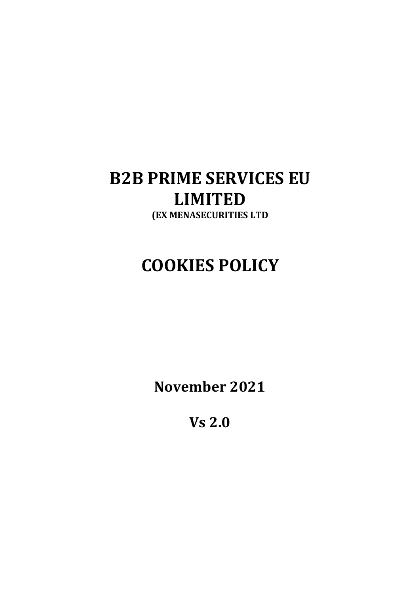## B2B PRIME SERVICES EU LIMITED (EX MENASECURITIES LTD

# COOKIES POLICY

November 2021

Vs 2.0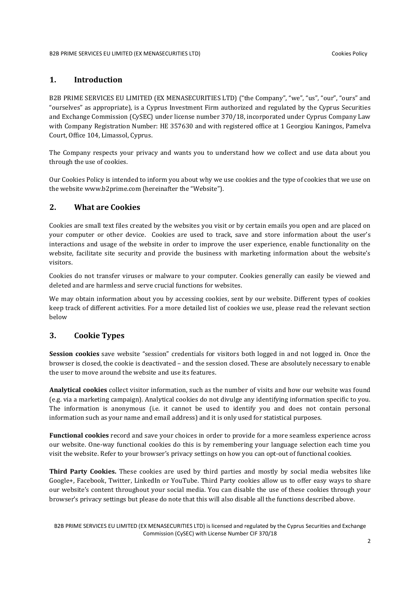## 1. Introduction

B2B PRIME SERVICES EU LIMITED (EX MENASECURITIES LTD) ("the Company", "we", "us", "our", "ours" and "ourselves" as appropriate), is a Cyprus Investment Firm authorized and regulated by the Cyprus Securities and Exchange Commission (CySEC) under license number 370/18, incorporated under Cyprus Company Law with Company Registration Number: ΗΕ 357630 and with registered office at 1 Georgiou Kaningos, Pamelva Court, Office 104, Limassol, Cyprus.

The Company respects your privacy and wants you to understand how we collect and use data about you through the use of cookies.

Our Cookies Policy is intended to inform you about why we use cookies and the type of cookies that we use on the website www.b2prime.com (hereinafter the "Website").

## 2. What are Cookies

Cookies are small text files created by the websites you visit or by certain emails you open and are placed on your computer or other device. Cookies are used to track, save and store information about the user's interactions and usage of the website in order to improve the user experience, enable functionality on the website, facilitate site security and provide the business with marketing information about the website's visitors.

Cookies do not transfer viruses or malware to your computer. Cookies generally can easily be viewed and deleted and are harmless and serve crucial functions for websites.

We may obtain information about you by accessing cookies, sent by our website. Different types of cookies keep track of different activities. For a more detailed list of cookies we use, please read the relevant section below

## 3. Cookie Types

Session cookies save website "session" credentials for visitors both logged in and not logged in. Once the browser is closed, the cookie is deactivated – and the session closed. These are absolutely necessary to enable the user to move around the website and use its features.

Analytical cookies collect visitor information, such as the number of visits and how our website was found (e.g. via a marketing campaign). Analytical cookies do not divulge any identifying information specific to you. The information is anonymous (i.e. it cannot be used to identify you and does not contain personal information such as your name and email address) and it is only used for statistical purposes.

Functional cookies record and save your choices in order to provide for a more seamless experience across our website. One-way functional cookies do this is by remembering your language selection each time you visit the website. Refer to your browser's privacy settings on how you can opt-out of functional cookies.

Third Party Cookies. These cookies are used by third parties and mostly by social media websites like Google+, Facebook, Twitter, LinkedIn or YouTube. Third Party cookies allow us to offer easy ways to share our website's content throughout your social media. You can disable the use of these cookies through your browser's privacy settings but please do note that this will also disable all the functions described above.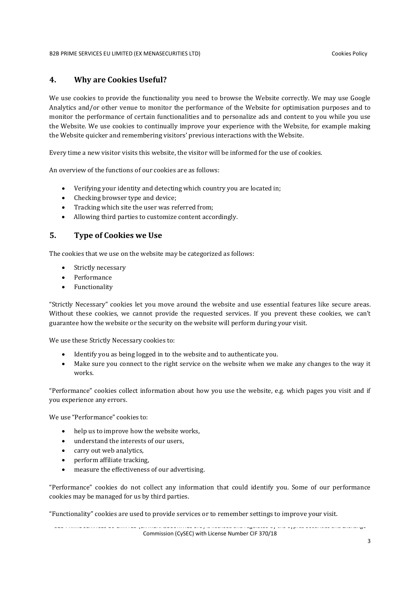## 4. Why are Cookies Useful?

We use cookies to provide the functionality you need to browse the Website correctly. We may use Google Analytics and/or other venue to monitor the performance of the Website for optimisation purposes and to monitor the performance of certain functionalities and to personalize ads and content to you while you use the Website. We use cookies to continually improve your experience with the Website, for example making the Website quicker and remembering visitors' previous interactions with the Website.

Every time a new visitor visits this website, the visitor will be informed for the use of cookies.

An overview of the functions of our cookies are as follows:

- Verifying your identity and detecting which country you are located in;
- Checking browser type and device;
- Tracking which site the user was referred from;
- Allowing third parties to customize content accordingly.

## 5. Type of Cookies we Use

The cookies that we use on the website may be categorized as follows:

- Strictly necessary
- Performance
- Functionality

"Strictly Necessary" cookies let you move around the website and use essential features like secure areas. Without these cookies, we cannot provide the requested services. If you prevent these cookies, we can't guarantee how the website or the security on the website will perform during your visit.

We use these Strictly Necessary cookies to:

- Identify you as being logged in to the website and to authenticate you.
- Make sure you connect to the right service on the website when we make any changes to the way it works.

"Performance" cookies collect information about how you use the website, e.g. which pages you visit and if you experience any errors.

We use "Performance" cookies to:

- help us to improve how the website works,
- understand the interests of our users,
- carry out web analytics,
- perform affiliate tracking,
- measure the effectiveness of our advertising.

"Performance" cookies do not collect any information that could identify you. Some of our performance cookies may be managed for us by third parties.

"Functionality" cookies are used to provide services or to remember settings to improve your visit.

B2B PRIME SERVICES EU LIMITED (EX MENASECURITIES LTD) is licensed and regulated by the Cyprus Securities and Exchange Commission (CySEC) with License Number CIF 370/18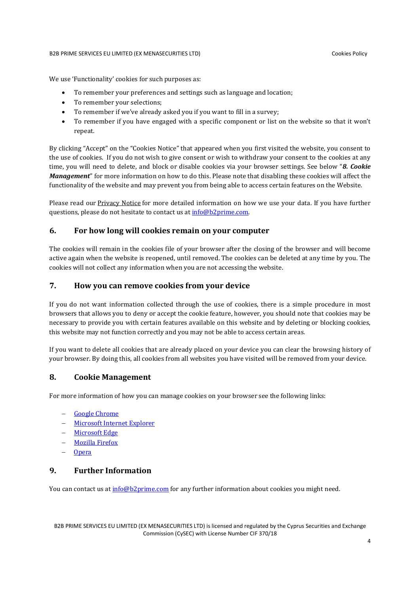#### B2B PRIME SERVICES EU LIMITED (EX MENASECURITIES LTD) Cookies Policy

We use 'Functionality' cookies for such purposes as:

- To remember your preferences and settings such as language and location;
- To remember your selections;
- To remember if we've already asked you if you want to fill in a survey;
- To remember if you have engaged with a specific component or list on the website so that it won't repeat.

By clicking "Accept" on the "Cookies Notice" that appeared when you first visited the website, you consent to the use of cookies. If you do not wish to give consent or wish to withdraw your consent to the cookies at any time, you will need to delete, and block or disable cookies via your browser settings. See below "8. Cookie Management" for more information on how to do this. Please note that disabling these cookies will affect the functionality of the website and may prevent you from being able to access certain features on the Website.

Please read our Privacy Notice for more detailed information on how we use your data. If you have further questions, please do not hesitate to contact us at info@b2prime.com.

## 6. For how long will cookies remain on your computer

The cookies will remain in the cookies file of your browser after the closing of the browser and will become active again when the website is reopened, until removed. The cookies can be deleted at any time by you. The cookies will not collect any information when you are not accessing the website.

## 7. How you can remove cookies from your device

If you do not want information collected through the use of cookies, there is a simple procedure in most browsers that allows you to deny or accept the cookie feature, however, you should note that cookies may be necessary to provide you with certain features available on this website and by deleting or blocking cookies, this website may not function correctly and you may not be able to access certain areas.

If you want to delete all cookies that are already placed on your device you can clear the browsing history of your browser. By doing this, all cookies from all websites you have visited will be removed from your device.

## 8. Cookie Management

For more information of how you can manage cookies on your browser see the following links:

- Google Chrome
- Microsoft Internet Explorer
- Microsoft Edge
- Mozilla Firefox
- Opera

## 9. Further Information

You can contact us at info@b2prime.com for any further information about cookies you might need.

B2B PRIME SERVICES EU LIMITED (EX MENASECURITIES LTD) is licensed and regulated by the Cyprus Securities and Exchange Commission (CySEC) with License Number CIF 370/18